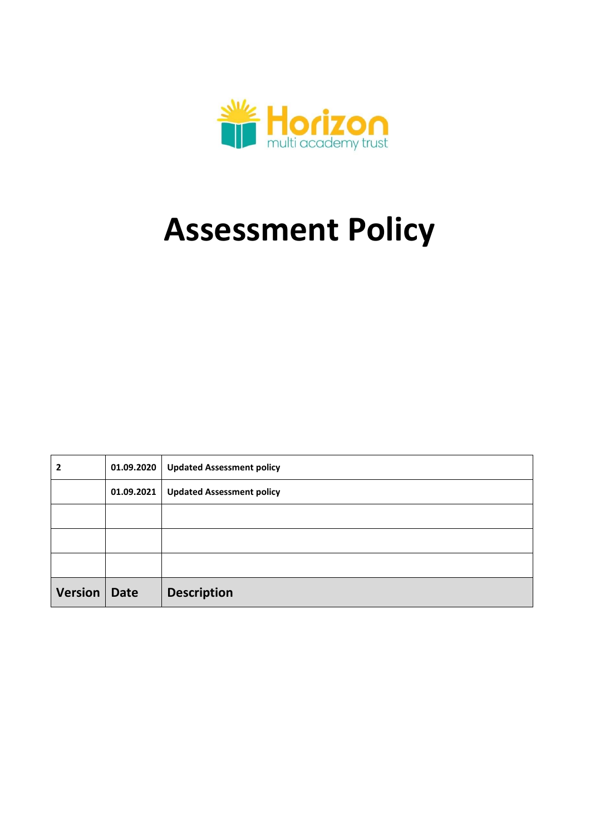

# **Assessment Policy**

| 2              |            | 01.09.2020   Updated Assessment policy |
|----------------|------------|----------------------------------------|
|                | 01.09.2021 | <b>Updated Assessment policy</b>       |
|                |            |                                        |
|                |            |                                        |
|                |            |                                        |
| Version   Date |            | <b>Description</b>                     |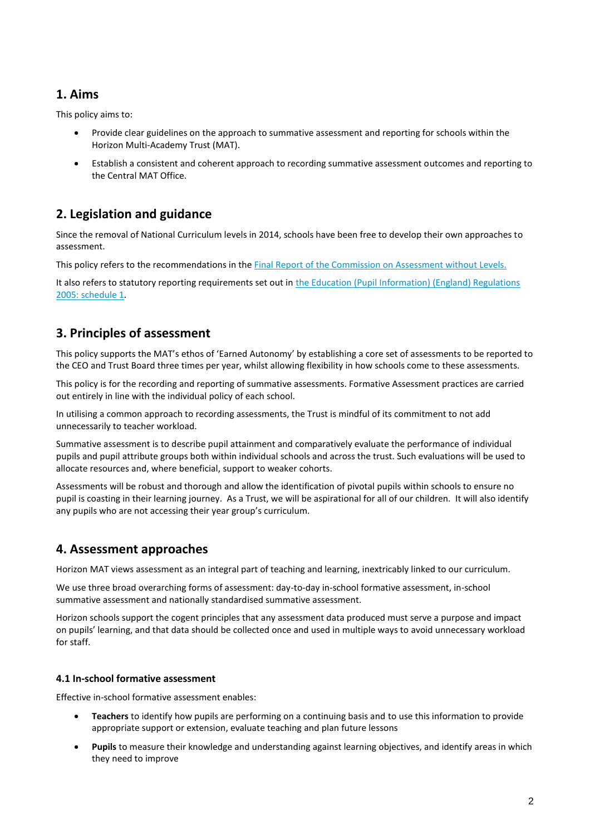## **1. Aims**

This policy aims to:

- Provide clear guidelines on the approach to summative assessment and reporting for schools within the Horizon Multi-Academy Trust (MAT).
- Establish a consistent and coherent approach to recording summative assessment outcomes and reporting to the Central MAT Office.

# **2. Legislation and guidance**

Since the removal of National Curriculum levels in 2014, schools have been free to develop their own approaches to assessment.

This policy refers to the recommendations in th[e Final Report of the Commission on Assessment without Levels.](https://www.gov.uk/government/uploads/system/uploads/attachment_data/file/483058/Commission_on_Assessment_Without_Levels_-_report.pdf)

It also refers to statutory reporting requirements set out in the Education (Pupil Information) (England) Regulations [2005: schedule 1.](http://www.legislation.gov.uk/uksi/2005/1437/schedule/1/made)

# **3. Principles of assessment**

This policy supports the MAT's ethos of 'Earned Autonomy' by establishing a core set of assessments to be reported to the CEO and Trust Board three times per year, whilst allowing flexibility in how schools come to these assessments.

This policy is for the recording and reporting of summative assessments. Formative Assessment practices are carried out entirely in line with the individual policy of each school.

In utilising a common approach to recording assessments, the Trust is mindful of its commitment to not add unnecessarily to teacher workload.

Summative assessment is to describe pupil attainment and comparatively evaluate the performance of individual pupils and pupil attribute groups both within individual schools and across the trust. Such evaluations will be used to allocate resources and, where beneficial, support to weaker cohorts.

Assessments will be robust and thorough and allow the identification of pivotal pupils within schools to ensure no pupil is coasting in their learning journey. As a Trust, we will be aspirational for all of our children. It will also identify any pupils who are not accessing their year group's curriculum.

# **4. Assessment approaches**

Horizon MAT views assessment as an integral part of teaching and learning, inextricably linked to our curriculum.

We use three broad overarching forms of assessment: day-to-day in-school formative assessment, in-school summative assessment and nationally standardised summative assessment.

Horizon schools support the cogent principles that any assessment data produced must serve a purpose and impact on pupils' learning, and that data should be collected once and used in multiple ways to avoid unnecessary workload for staff.

#### **4.1 In-school formative assessment**

Effective in-school formative assessment enables:

- **Teachers** to identify how pupils are performing on a continuing basis and to use this information to provide appropriate support or extension, evaluate teaching and plan future lessons
- **Pupils** to measure their knowledge and understanding against learning objectives, and identify areas in which they need to improve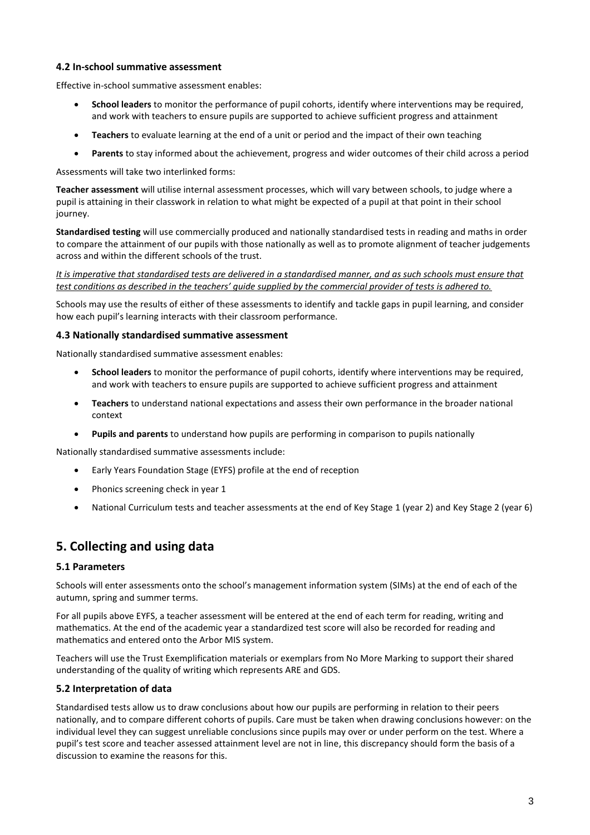#### **4.2 In-school summative assessment**

Effective in-school summative assessment enables:

- **School leaders** to monitor the performance of pupil cohorts, identify where interventions may be required, and work with teachers to ensure pupils are supported to achieve sufficient progress and attainment
- **Teachers** to evaluate learning at the end of a unit or period and the impact of their own teaching
- **Parents** to stay informed about the achievement, progress and wider outcomes of their child across a period

Assessments will take two interlinked forms:

**Teacher assessment** will utilise internal assessment processes, which will vary between schools, to judge where a pupil is attaining in their classwork in relation to what might be expected of a pupil at that point in their school journey.

**Standardised testing** will use commercially produced and nationally standardised tests in reading and maths in order to compare the attainment of our pupils with those nationally as well as to promote alignment of teacher judgements across and within the different schools of the trust.

*It is imperative that standardised tests are delivered in a standardised manner, and as such schools must ensure that test conditions as described in the teachers' guide supplied by the commercial provider of tests is adhered to.* 

Schools may use the results of either of these assessments to identify and tackle gaps in pupil learning, and consider how each pupil's learning interacts with their classroom performance.

#### **4.3 Nationally standardised summative assessment**

Nationally standardised summative assessment enables:

- **School leaders** to monitor the performance of pupil cohorts, identify where interventions may be required, and work with teachers to ensure pupils are supported to achieve sufficient progress and attainment
- **Teachers** to understand national expectations and assess their own performance in the broader national context
- **Pupils and parents** to understand how pupils are performing in comparison to pupils nationally

Nationally standardised summative assessments include:

- Early Years Foundation Stage (EYFS) profile at the end of reception
- Phonics screening check in year 1
- National Curriculum tests and teacher assessments at the end of Key Stage 1 (year 2) and Key Stage 2 (year 6)

## **5. Collecting and using data**

#### **5.1 Parameters**

Schools will enter assessments onto the school's management information system (SIMs) at the end of each of the autumn, spring and summer terms.

For all pupils above EYFS, a teacher assessment will be entered at the end of each term for reading, writing and mathematics. At the end of the academic year a standardized test score will also be recorded for reading and mathematics and entered onto the Arbor MIS system.

Teachers will use the Trust Exemplification materials or exemplars from No More Marking to support their shared understanding of the quality of writing which represents ARE and GDS.

#### **5.2 Interpretation of data**

Standardised tests allow us to draw conclusions about how our pupils are performing in relation to their peers nationally, and to compare different cohorts of pupils. Care must be taken when drawing conclusions however: on the individual level they can suggest unreliable conclusions since pupils may over or under perform on the test. Where a pupil's test score and teacher assessed attainment level are not in line, this discrepancy should form the basis of a discussion to examine the reasons for this.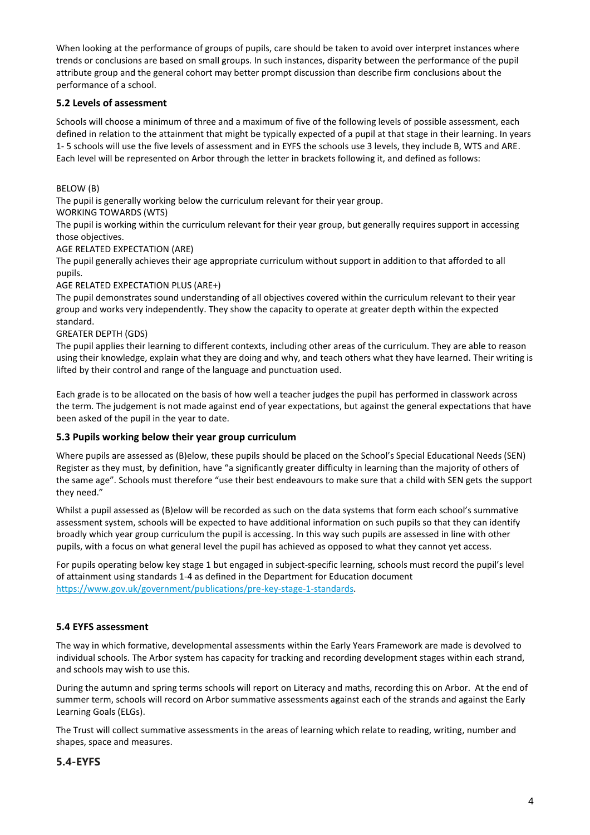When looking at the performance of groups of pupils, care should be taken to avoid over interpret instances where trends or conclusions are based on small groups. In such instances, disparity between the performance of the pupil attribute group and the general cohort may better prompt discussion than describe firm conclusions about the performance of a school.

#### **5.2 Levels of assessment**

Schools will choose a minimum of three and a maximum of five of the following levels of possible assessment, each defined in relation to the attainment that might be typically expected of a pupil at that stage in their learning. In years 1- 5 schools will use the five levels of assessment and in EYFS the schools use 3 levels, they include B, WTS and ARE. Each level will be represented on Arbor through the letter in brackets following it, and defined as follows:

BELOW (B)

The pupil is generally working below the curriculum relevant for their year group.

WORKING TOWARDS (WTS)

The pupil is working within the curriculum relevant for their year group, but generally requires support in accessing those objectives.

#### AGE RELATED EXPECTATION (ARE)

The pupil generally achieves their age appropriate curriculum without support in addition to that afforded to all pupils.

#### AGE RELATED EXPECTATION PLUS (ARE+)

The pupil demonstrates sound understanding of all objectives covered within the curriculum relevant to their year group and works very independently. They show the capacity to operate at greater depth within the expected standard.

GREATER DEPTH (GDS)

The pupil applies their learning to different contexts, including other areas of the curriculum. They are able to reason using their knowledge, explain what they are doing and why, and teach others what they have learned. Their writing is lifted by their control and range of the language and punctuation used.

Each grade is to be allocated on the basis of how well a teacher judges the pupil has performed in classwork across the term. The judgement is not made against end of year expectations, but against the general expectations that have been asked of the pupil in the year to date.

#### **5.3 Pupils working below their year group curriculum**

Where pupils are assessed as (B)elow, these pupils should be placed on the School's Special Educational Needs (SEN) Register as they must, by definition, have "a significantly greater difficulty in learning than the majority of others of the same age". Schools must therefore "use their best endeavours to make sure that a child with SEN gets the support they need."

Whilst a pupil assessed as (B)elow will be recorded as such on the data systems that form each school's summative assessment system, schools will be expected to have additional information on such pupils so that they can identify broadly which year group curriculum the pupil is accessing. In this way such pupils are assessed in line with other pupils, with a focus on what general level the pupil has achieved as opposed to what they cannot yet access.

For pupils operating below key stage 1 but engaged in subject-specific learning, schools must record the pupil's level of attainment using standards 1-4 as defined in the Department for Education document [https://www.gov.uk/government/publications/pre-key-stage-1-standards.](https://www.gov.uk/government/publications/pre-key-stage-1-standards)

#### **5.4 EYFS assessment**

The way in which formative, developmental assessments within the Early Years Framework are made is devolved to individual schools. The Arbor system has capacity for tracking and recording development stages within each strand, and schools may wish to use this.

During the autumn and spring terms schools will report on Literacy and maths, recording this on Arbor. At the end of summer term, schools will record on Arbor summative assessments against each of the strands and against the Early Learning Goals (ELGs).

The Trust will collect summative assessments in the areas of learning which relate to reading, writing, number and shapes, space and measures.

#### **5.4-EYFS**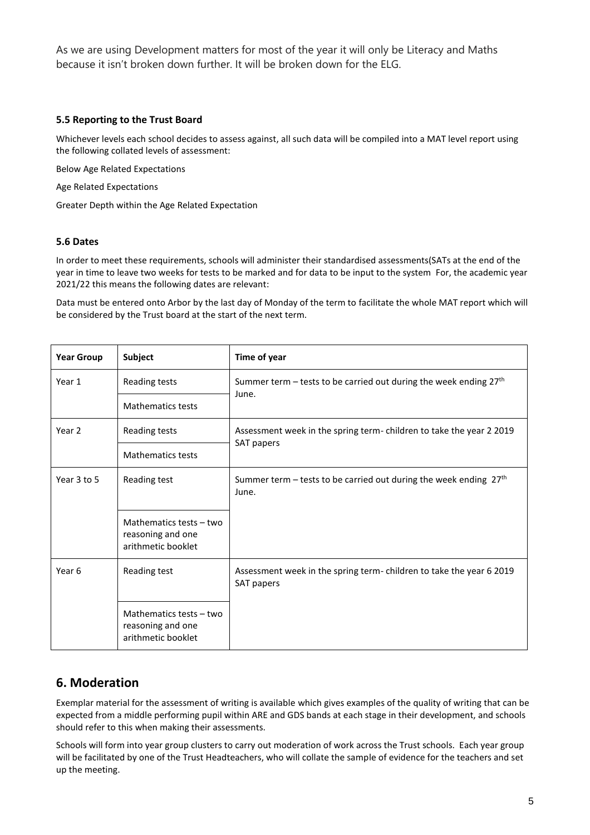As we are using Development matters for most of the year it will only be Literacy and Maths because it isn't broken down further. It will be broken down for the ELG.

#### **5.5 Reporting to the Trust Board**

Whichever levels each school decides to assess against, all such data will be compiled into a MAT level report using the following collated levels of assessment:

Below Age Related Expectations

Age Related Expectations

Greater Depth within the Age Related Expectation

#### **5.6 Dates**

In order to meet these requirements, schools will administer their standardised assessments(SATs at the end of the year in time to leave two weeks for tests to be marked and for data to be input to the system For, the academic year 2021/22 this means the following dates are relevant:

Data must be entered onto Arbor by the last day of Monday of the term to facilitate the whole MAT report which will be considered by the Trust board at the start of the next term.

| <b>Year Group</b> | Subject                                                            | Time of year                                                                      |  |  |
|-------------------|--------------------------------------------------------------------|-----------------------------------------------------------------------------------|--|--|
| Year 1            | Reading tests                                                      | Summer term – tests to be carried out during the week ending $27th$<br>June.      |  |  |
|                   | <b>Mathematics tests</b>                                           |                                                                                   |  |  |
| Year 2            | Reading tests                                                      | Assessment week in the spring term-children to take the year 2 2019<br>SAT papers |  |  |
|                   | <b>Mathematics tests</b>                                           |                                                                                   |  |  |
| Year 3 to 5       | Reading test                                                       | Summer term – tests to be carried out during the week ending $27th$<br>June.      |  |  |
|                   | Mathematics tests - two<br>reasoning and one<br>arithmetic booklet |                                                                                   |  |  |
| Year 6            | Reading test                                                       | Assessment week in the spring term-children to take the year 6 2019<br>SAT papers |  |  |
|                   | Mathematics tests - two<br>reasoning and one<br>arithmetic booklet |                                                                                   |  |  |

## **6. Moderation**

Exemplar material for the assessment of writing is available which gives examples of the quality of writing that can be expected from a middle performing pupil within ARE and GDS bands at each stage in their development, and schools should refer to this when making their assessments.

Schools will form into year group clusters to carry out moderation of work across the Trust schools. Each year group will be facilitated by one of the Trust Headteachers, who will collate the sample of evidence for the teachers and set up the meeting.